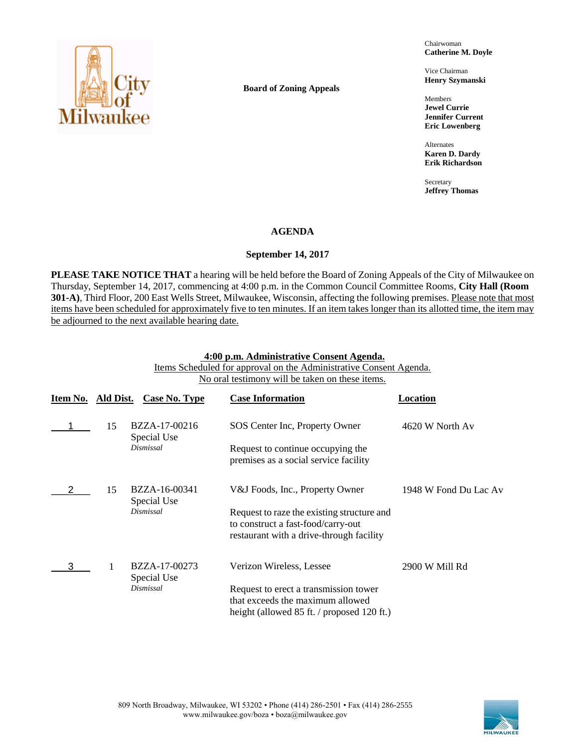

**Board of Zoning Appeals**

Chairwoman **Catherine M. Doyle**

Vice Chairman **Henry Szymanski**

Members **Jewel Currie Jennifer Current Eric Lowenberg**

Alternates **Karen D. Dardy Erik Richardson**

Secretary **Jeffrey Thomas**

# **AGENDA**

# **September 14, 2017**

**PLEASE TAKE NOTICE THAT** a hearing will be held before the Board of Zoning Appeals of the City of Milwaukee on Thursday, September 14, 2017, commencing at 4:00 p.m. in the Common Council Committee Rooms, **City Hall (Room 301-A)**, Third Floor, 200 East Wells Street, Milwaukee, Wisconsin, affecting the following premises. Please note that most items have been scheduled for approximately five to ten minutes. If an item takes longer than its allotted time, the item may be adjourned to the next available hearing date.

#### **4:00 p.m. Administrative Consent Agenda.**

Items Scheduled for approval on the Administrative Consent Agenda. No oral testimony will be taken on these items.

| Item No. | Ald Dist. | Case No. Type                | <b>Case Information</b>                                                                                                      | Location              |
|----------|-----------|------------------------------|------------------------------------------------------------------------------------------------------------------------------|-----------------------|
|          | 15        | BZZA-17-00216<br>Special Use | SOS Center Inc, Property Owner                                                                                               | 4620 W North Av       |
|          |           | Dismissal                    | Request to continue occupying the<br>premises as a social service facility                                                   |                       |
|          | 15        | BZZA-16-00341<br>Special Use | V&J Foods, Inc., Property Owner                                                                                              | 1948 W Fond Du Lac Av |
|          |           | Dismissal                    | Request to raze the existing structure and<br>to construct a fast-food/carry-out<br>restaurant with a drive-through facility |                       |
|          |           | BZZA-17-00273<br>Special Use | Verizon Wireless, Lessee                                                                                                     | 2900 W Mill Rd        |
|          |           | Dismissal                    | Request to erect a transmission tower<br>that exceeds the maximum allowed<br>height (allowed 85 ft. / proposed 120 ft.)      |                       |

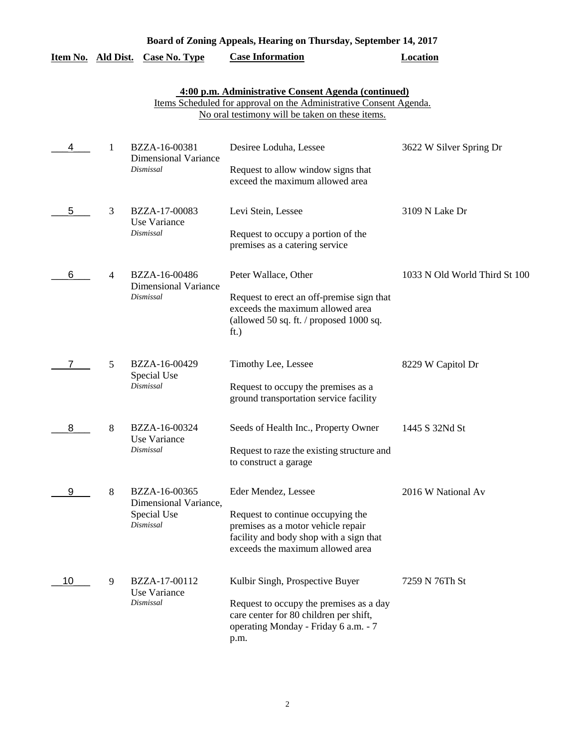| Board of Zoning Appeals, Hearing on Thursday, September 14, 2017 |   |                                                                    |                                                                                                                                                                               |                               |  |
|------------------------------------------------------------------|---|--------------------------------------------------------------------|-------------------------------------------------------------------------------------------------------------------------------------------------------------------------------|-------------------------------|--|
| Item No. Ald Dist.                                               |   | <b>Case No. Type</b>                                               | <b>Case Information</b>                                                                                                                                                       | <b>Location</b>               |  |
|                                                                  |   |                                                                    | 4:00 p.m. Administrative Consent Agenda (continued)<br>Items Scheduled for approval on the Administrative Consent Agenda.<br>No oral testimony will be taken on these items.  |                               |  |
|                                                                  | 1 | BZZA-16-00381<br><b>Dimensional Variance</b><br>Dismissal          | Desiree Loduha, Lessee<br>Request to allow window signs that<br>exceed the maximum allowed area                                                                               | 3622 W Silver Spring Dr       |  |
| 5                                                                | 3 | BZZA-17-00083<br>Use Variance<br>Dismissal                         | Levi Stein, Lessee<br>Request to occupy a portion of the<br>premises as a catering service                                                                                    | 3109 N Lake Dr                |  |
| 6                                                                | 4 | BZZA-16-00486<br><b>Dimensional Variance</b><br>Dismissal          | Peter Wallace, Other<br>Request to erect an off-premise sign that<br>exceeds the maximum allowed area<br>(allowed 50 sq. ft. / proposed 1000 sq.<br>ft.)                      | 1033 N Old World Third St 100 |  |
| 7                                                                | 5 | BZZA-16-00429<br>Special Use<br>Dismissal                          | Timothy Lee, Lessee<br>Request to occupy the premises as a<br>ground transportation service facility                                                                          | 8229 W Capitol Dr             |  |
| 8                                                                | 8 | BZZA-16-00324<br>Use Variance<br>Dismissal                         | Seeds of Health Inc., Property Owner<br>Request to raze the existing structure and<br>to construct a garage                                                                   | 1445 S 32Nd St                |  |
| 9                                                                | 8 | BZZA-16-00365<br>Dimensional Variance,<br>Special Use<br>Dismissal | Eder Mendez, Lessee<br>Request to continue occupying the<br>premises as a motor vehicle repair<br>facility and body shop with a sign that<br>exceeds the maximum allowed area | 2016 W National Av            |  |
|                                                                  |   |                                                                    |                                                                                                                                                                               |                               |  |

| 10 | BZZA-17-00112<br>Use Variance | Kulbir Singh, Prospective Buyer                                                   | 7259 N 76Th St |
|----|-------------------------------|-----------------------------------------------------------------------------------|----------------|
|    | Dismissal                     | Request to occupy the premises as a day<br>care center for 80 children per shift, |                |
|    |                               | operating Monday - Friday 6 a.m. - 7<br>p.m.                                      |                |
|    |                               |                                                                                   |                |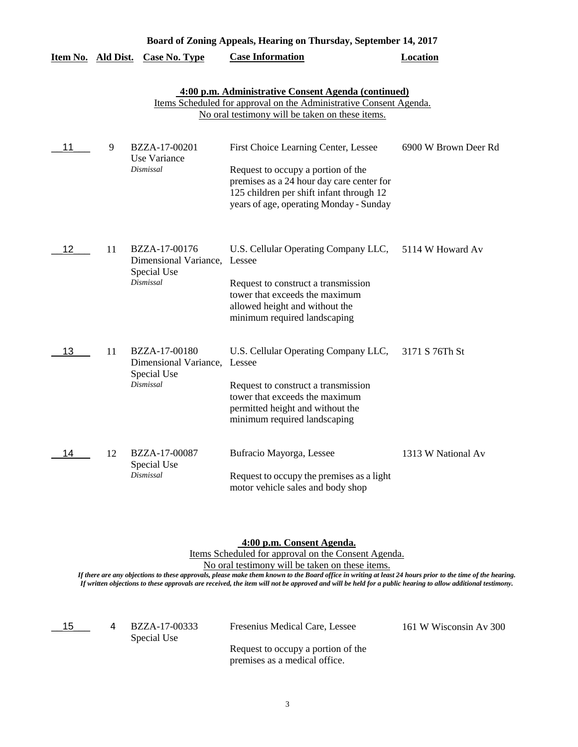|                           |    |                                                                           | Board of Zoning Appeals, Hearing on Thursday, September 14, 2017                                                                                                                                               |                      |
|---------------------------|----|---------------------------------------------------------------------------|----------------------------------------------------------------------------------------------------------------------------------------------------------------------------------------------------------------|----------------------|
| <u>Item No. Ald Dist.</u> |    | <b>Case No. Type</b>                                                      | <b>Case Information</b>                                                                                                                                                                                        | Location             |
|                           |    |                                                                           | 4:00 p.m. Administrative Consent Agenda (continued)<br>Items Scheduled for approval on the Administrative Consent Agenda.<br>No oral testimony will be taken on these items.                                   |                      |
| 11                        | 9  | BZZA-17-00201<br>Use Variance<br>Dismissal                                | First Choice Learning Center, Lessee<br>Request to occupy a portion of the<br>premises as a 24 hour day care center for<br>125 children per shift infant through 12<br>years of age, operating Monday - Sunday | 6900 W Brown Deer Rd |
| 12                        | 11 | BZZA-17-00176<br>Dimensional Variance, Lessee<br>Special Use<br>Dismissal | U.S. Cellular Operating Company LLC,<br>Request to construct a transmission<br>tower that exceeds the maximum<br>allowed height and without the<br>minimum required landscaping                                | 5114 W Howard Av     |
| 13                        | 11 | BZZA-17-00180<br>Dimensional Variance, Lessee<br>Special Use<br>Dismissal | U.S. Cellular Operating Company LLC,<br>Request to construct a transmission<br>tower that exceeds the maximum<br>permitted height and without the<br>minimum required landscaping                              | 3171 S 76Th St       |
| 14                        | 12 | BZZA-17-00087<br>Special Use<br>Dismissal                                 | Bufracio Mayorga, Lessee<br>Request to occupy the premises as a light<br>motor vehicle sales and body shop                                                                                                     | 1313 W National Av   |

**4:00 p.m. Consent Agenda.**

Items Scheduled for approval on the Consent Agenda.

No oral testimony will be taken on these items.

*If there are any objections to these approvals, please make them known to the Board office in writing at least 24 hours prior to the time of the hearing. If written objections to these approvals are received, the item will not be approved and will be held for a public hearing to allow additional testimony.*

 $15$ 

Special Use 4

BZZA-17-00333 Fresenius Medical Care, Lessee 161 W Wisconsin Av 300

Request to occupy a portion of the premises as a medical office.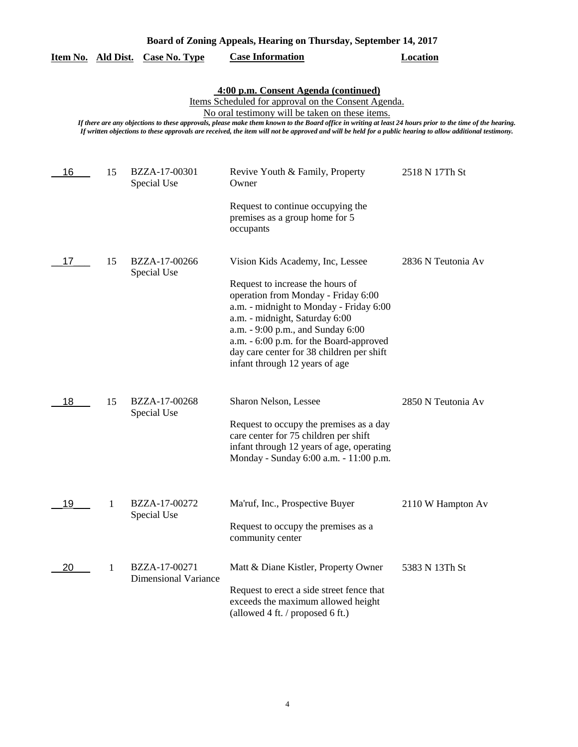|  |  | Item No. Ald Dist. Case No. Type | <b>Case Information</b> | Location |
|--|--|----------------------------------|-------------------------|----------|
|--|--|----------------------------------|-------------------------|----------|

Items Scheduled for approval on the Consent Agenda.

No oral testimony will be taken on these items.

| 16 | 15 | BZZA-17-00301<br>Special Use                 | Revive Youth & Family, Property<br>Owner                                                                                                                                                                                                                                                                                                                | 2518 N 17Th St     |
|----|----|----------------------------------------------|---------------------------------------------------------------------------------------------------------------------------------------------------------------------------------------------------------------------------------------------------------------------------------------------------------------------------------------------------------|--------------------|
|    |    |                                              | Request to continue occupying the<br>premises as a group home for 5<br>occupants                                                                                                                                                                                                                                                                        |                    |
| 17 | 15 | BZZA-17-00266<br>Special Use                 | Vision Kids Academy, Inc, Lessee<br>Request to increase the hours of<br>operation from Monday - Friday 6:00<br>a.m. - midnight to Monday - Friday 6:00<br>a.m. - midnight, Saturday 6:00<br>a.m. - 9:00 p.m., and Sunday 6:00<br>a.m. - 6:00 p.m. for the Board-approved<br>day care center for 38 children per shift<br>infant through 12 years of age | 2836 N Teutonia Av |
| 18 | 15 | BZZA-17-00268<br>Special Use                 | Sharon Nelson, Lessee<br>Request to occupy the premises as a day<br>care center for 75 children per shift<br>infant through 12 years of age, operating<br>Monday - Sunday 6:00 a.m. - 11:00 p.m.                                                                                                                                                        | 2850 N Teutonia Av |
| 19 | 1  | BZZA-17-00272<br>Special Use                 | Ma'ruf, Inc., Prospective Buyer<br>Request to occupy the premises as a<br>community center                                                                                                                                                                                                                                                              | 2110 W Hampton Av  |
| 20 | 1  | BZZA-17-00271<br><b>Dimensional Variance</b> | Matt & Diane Kistler, Property Owner<br>Request to erect a side street fence that<br>exceeds the maximum allowed height<br>(allowed 4 ft. / proposed 6 ft.)                                                                                                                                                                                             | 5383 N 13Th St     |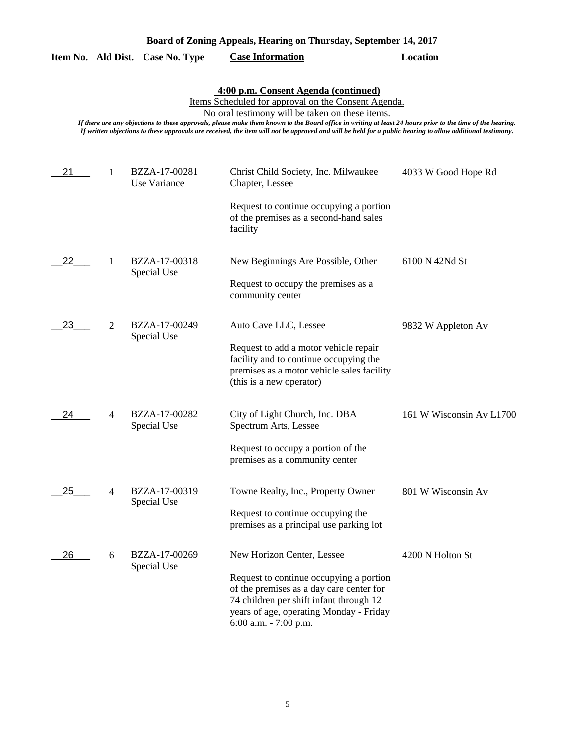| Board of Zoning Appeals, Hearing on Thursday, September 14, 2017 |  |  |  |
|------------------------------------------------------------------|--|--|--|
|                                                                  |  |  |  |

|  |  | Item No. Ald Dist. Case No. Type | <b>Case Information</b> | Location |
|--|--|----------------------------------|-------------------------|----------|
|--|--|----------------------------------|-------------------------|----------|

Items Scheduled for approval on the Consent Agenda.

No oral testimony will be taken on these items.

| 21 | 1              | BZZA-17-00281<br>Use Variance | Christ Child Society, Inc. Milwaukee<br>Chapter, Lessee                                                                                                                                            | 4033 W Good Hope Rd      |
|----|----------------|-------------------------------|----------------------------------------------------------------------------------------------------------------------------------------------------------------------------------------------------|--------------------------|
|    |                |                               | Request to continue occupying a portion<br>of the premises as a second-hand sales<br>facility                                                                                                      |                          |
| 22 | 1              | BZZA-17-00318<br>Special Use  | New Beginnings Are Possible, Other<br>Request to occupy the premises as a                                                                                                                          | 6100 N 42Nd St           |
|    |                |                               | community center                                                                                                                                                                                   |                          |
| 23 | $\overline{2}$ | BZZA-17-00249<br>Special Use  | Auto Cave LLC, Lessee                                                                                                                                                                              | 9832 W Appleton Av       |
|    |                |                               | Request to add a motor vehicle repair<br>facility and to continue occupying the<br>premises as a motor vehicle sales facility<br>(this is a new operator)                                          |                          |
| 24 | 4              | BZZA-17-00282<br>Special Use  | City of Light Church, Inc. DBA<br>Spectrum Arts, Lessee                                                                                                                                            | 161 W Wisconsin Av L1700 |
|    |                |                               | Request to occupy a portion of the<br>premises as a community center                                                                                                                               |                          |
| 25 | 4              | BZZA-17-00319<br>Special Use  | Towne Realty, Inc., Property Owner                                                                                                                                                                 | 801 W Wisconsin Av       |
|    |                |                               | Request to continue occupying the<br>premises as a principal use parking lot                                                                                                                       |                          |
| 26 | 6              | BZZA-17-00269<br>Special Use  | New Horizon Center, Lessee                                                                                                                                                                         | 4200 N Holton St         |
|    |                |                               | Request to continue occupying a portion<br>of the premises as a day care center for<br>74 children per shift infant through 12<br>years of age, operating Monday - Friday<br>6:00 a.m. - 7:00 p.m. |                          |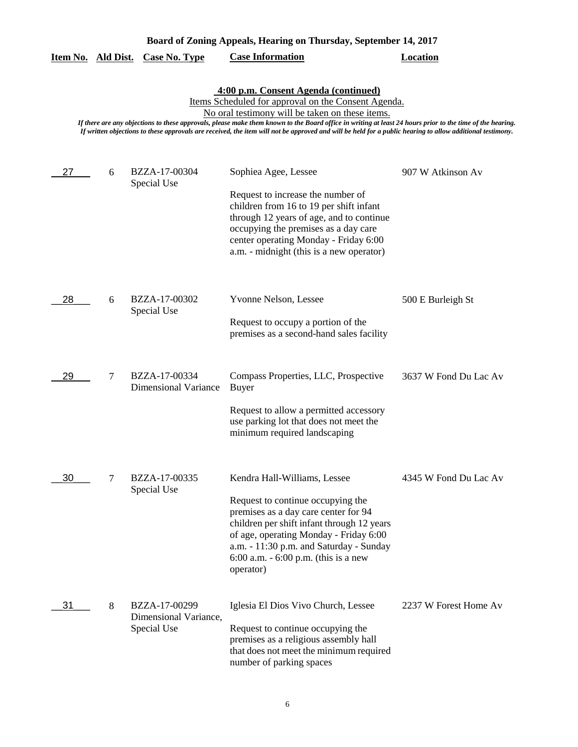| Board of Zoning Appeals, Hearing on Thursday, September 14, 2017 |  |
|------------------------------------------------------------------|--|
|------------------------------------------------------------------|--|

|  |  | Item No. Ald Dist. Case No. Type | <b>Case Information</b> | Location |
|--|--|----------------------------------|-------------------------|----------|
|--|--|----------------------------------|-------------------------|----------|

Items Scheduled for approval on the Consent Agenda.

No oral testimony will be taken on these items.

| 27 | 6 | BZZA-17-00304<br>Special Use                          | Sophiea Agee, Lessee<br>Request to increase the number of<br>children from 16 to 19 per shift infant<br>through 12 years of age, and to continue<br>occupying the premises as a day care<br>center operating Monday - Friday 6:00<br>a.m. - midnight (this is a new operator)                      | 907 W Atkinson Av     |
|----|---|-------------------------------------------------------|----------------------------------------------------------------------------------------------------------------------------------------------------------------------------------------------------------------------------------------------------------------------------------------------------|-----------------------|
| 28 | 6 | BZZA-17-00302<br>Special Use                          | Yvonne Nelson, Lessee<br>Request to occupy a portion of the<br>premises as a second-hand sales facility                                                                                                                                                                                            | 500 E Burleigh St     |
| 29 | 7 | BZZA-17-00334<br><b>Dimensional Variance</b>          | Compass Properties, LLC, Prospective<br>Buyer<br>Request to allow a permitted accessory<br>use parking lot that does not meet the<br>minimum required landscaping                                                                                                                                  | 3637 W Fond Du Lac Av |
| 30 | 7 | BZZA-17-00335<br>Special Use                          | Kendra Hall-Williams, Lessee<br>Request to continue occupying the<br>premises as a day care center for 94<br>children per shift infant through 12 years<br>of age, operating Monday - Friday 6:00<br>a.m. - 11:30 p.m. and Saturday - Sunday<br>6:00 a.m. $-6:00$ p.m. (this is a new<br>operator) | 4345 W Fond Du Lac Av |
| 31 | 8 | BZZA-17-00299<br>Dimensional Variance,<br>Special Use | Iglesia El Dios Vivo Church, Lessee<br>Request to continue occupying the<br>premises as a religious assembly hall<br>that does not meet the minimum required<br>number of parking spaces                                                                                                           | 2237 W Forest Home Av |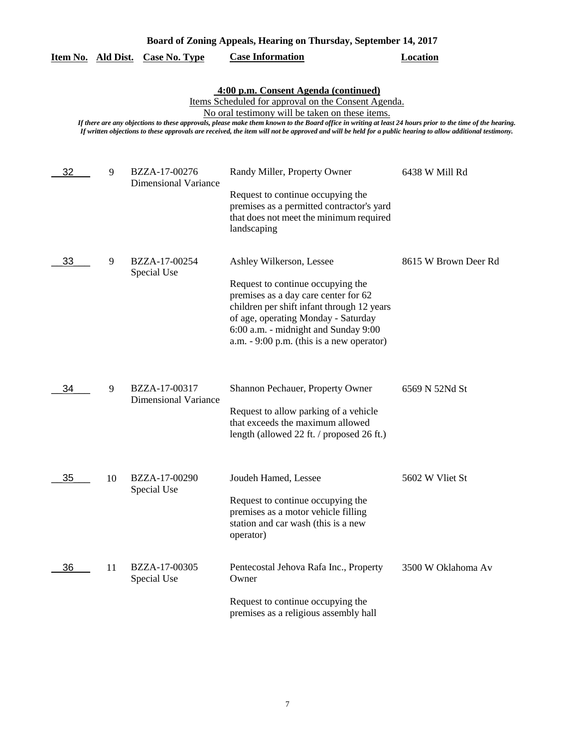|  |  | Board of Zoning Appeals, Hearing on Thursday, September 14, 2017 |  |
|--|--|------------------------------------------------------------------|--|
|  |  |                                                                  |  |

| Item No. |  | Ald Dist. Case No. Type | <b>Case Information</b> | Location |
|----------|--|-------------------------|-------------------------|----------|
|----------|--|-------------------------|-------------------------|----------|

Items Scheduled for approval on the Consent Agenda.

No oral testimony will be taken on these items.

| 32 | 9  | BZZA-17-00276<br><b>Dimensional Variance</b> | Randy Miller, Property Owner<br>Request to continue occupying the<br>premises as a permitted contractor's yard<br>that does not meet the minimum required<br>landscaping                                                                                                          | 6438 W Mill Rd       |
|----|----|----------------------------------------------|-----------------------------------------------------------------------------------------------------------------------------------------------------------------------------------------------------------------------------------------------------------------------------------|----------------------|
| 33 | 9  | BZZA-17-00254<br>Special Use                 | Ashley Wilkerson, Lessee<br>Request to continue occupying the<br>premises as a day care center for 62<br>children per shift infant through 12 years<br>of age, operating Monday - Saturday<br>6:00 a.m. - midnight and Sunday 9:00<br>$a.m. - 9:00$ p.m. (this is a new operator) | 8615 W Brown Deer Rd |
| 34 | 9  | BZZA-17-00317<br><b>Dimensional Variance</b> | Shannon Pechauer, Property Owner<br>Request to allow parking of a vehicle<br>that exceeds the maximum allowed<br>length (allowed 22 ft. / proposed 26 ft.)                                                                                                                        | 6569 N 52Nd St       |
| 35 | 10 | BZZA-17-00290<br>Special Use                 | Joudeh Hamed, Lessee<br>Request to continue occupying the<br>premises as a motor vehicle filling<br>station and car wash (this is a new<br>operator)                                                                                                                              | 5602 W Vliet St      |
| 36 | 11 | BZZA-17-00305<br>Special Use                 | Pentecostal Jehova Rafa Inc., Property<br>Owner<br>Request to continue occupying the<br>premises as a religious assembly hall                                                                                                                                                     | 3500 W Oklahoma Av   |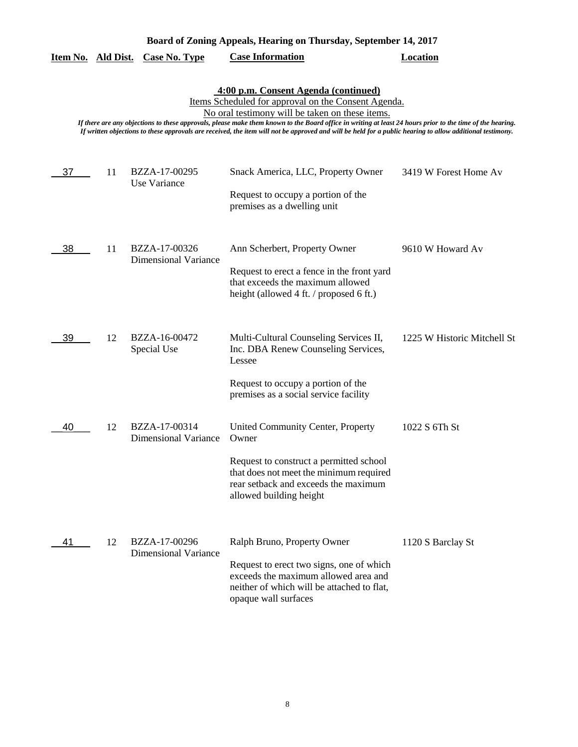| Board of Zoning Appeals, Hearing on Thursday, September 14, 2017 |    |                                              |                                                                                                                                                                                                                                                                                                                                                                                                                                                                          |                             |  |
|------------------------------------------------------------------|----|----------------------------------------------|--------------------------------------------------------------------------------------------------------------------------------------------------------------------------------------------------------------------------------------------------------------------------------------------------------------------------------------------------------------------------------------------------------------------------------------------------------------------------|-----------------------------|--|
| Item No. Ald Dist.                                               |    | <b>Case No. Type</b>                         | <b>Case Information</b>                                                                                                                                                                                                                                                                                                                                                                                                                                                  | <b>Location</b>             |  |
|                                                                  |    |                                              | 4:00 p.m. Consent Agenda (continued)<br>Items Scheduled for approval on the Consent Agenda.<br>No oral testimony will be taken on these items.<br>If there are any objections to these approvals, please make them known to the Board office in writing at least 24 hours prior to the time of the hearing.<br>If written objections to these approvals are received, the item will not be approved and will be held for a public hearing to allow additional testimony. |                             |  |
| 37                                                               | 11 | BZZA-17-00295<br>Use Variance                | Snack America, LLC, Property Owner<br>Request to occupy a portion of the<br>premises as a dwelling unit                                                                                                                                                                                                                                                                                                                                                                  | 3419 W Forest Home Av       |  |
| 38                                                               | 11 | BZZA-17-00326<br><b>Dimensional Variance</b> | Ann Scherbert, Property Owner<br>Request to erect a fence in the front yard<br>that exceeds the maximum allowed<br>height (allowed 4 ft. / proposed 6 ft.)                                                                                                                                                                                                                                                                                                               | 9610 W Howard Av            |  |
| 39                                                               | 12 | BZZA-16-00472<br>Special Use                 | Multi-Cultural Counseling Services II,<br>Inc. DBA Renew Counseling Services,<br>Lessee<br>Request to occupy a portion of the<br>premises as a social service facility                                                                                                                                                                                                                                                                                                   | 1225 W Historic Mitchell St |  |
| 40                                                               | 12 | BZZA-17-00314<br>Dimensional Variance        | United Community Center, Property<br>Owner<br>Request to construct a permitted school<br>that does not meet the minimum required<br>rear setback and exceeds the maximum<br>allowed building height                                                                                                                                                                                                                                                                      | 1022 S 6Th St               |  |
| 41                                                               | 12 | BZZA-17-00296<br><b>Dimensional Variance</b> | Ralph Bruno, Property Owner<br>Request to erect two signs, one of which<br>exceeds the maximum allowed area and<br>neither of which will be attached to flat,<br>opaque wall surfaces                                                                                                                                                                                                                                                                                    | 1120 S Barclay St           |  |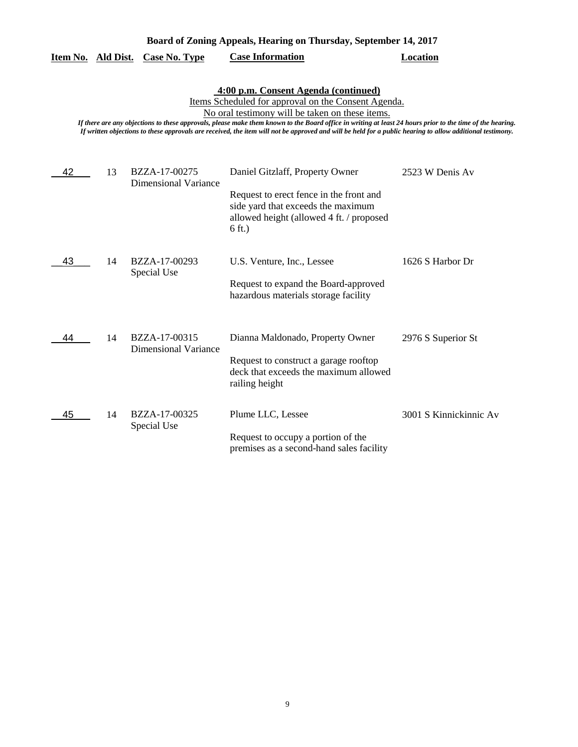|  |  | Board of Zoning Appeals, Hearing on Thursday, September 14, 2017 |  |
|--|--|------------------------------------------------------------------|--|
|  |  |                                                                  |  |

|  |  | Item No. Ald Dist. Case No. Type | <b>Case Information</b> | Location |
|--|--|----------------------------------|-------------------------|----------|
|--|--|----------------------------------|-------------------------|----------|

Items Scheduled for approval on the Consent Agenda.

No oral testimony will be taken on these items.

| 42 | 13 | BZZA-17-00275<br><b>Dimensional Variance</b> | Daniel Gitzlaff, Property Owner                                                                                                      | 2523 W Denis Av        |
|----|----|----------------------------------------------|--------------------------------------------------------------------------------------------------------------------------------------|------------------------|
|    |    |                                              | Request to erect fence in the front and<br>side yard that exceeds the maximum<br>allowed height (allowed 4 ft. / proposed<br>6 ft.)  |                        |
| 43 | 14 | BZZA-17-00293<br>Special Use                 | U.S. Venture, Inc., Lessee<br>Request to expand the Board-approved<br>hazardous materials storage facility                           | 1626 S Harbor Dr       |
| 44 | 14 | BZZA-17-00315<br><b>Dimensional Variance</b> | Dianna Maldonado, Property Owner<br>Request to construct a garage rooftop<br>deck that exceeds the maximum allowed<br>railing height | 2976 S Superior St     |
| 45 | 14 | BZZA-17-00325<br>Special Use                 | Plume LLC, Lessee<br>Request to occupy a portion of the<br>premises as a second-hand sales facility                                  | 3001 S Kinnickinnic Av |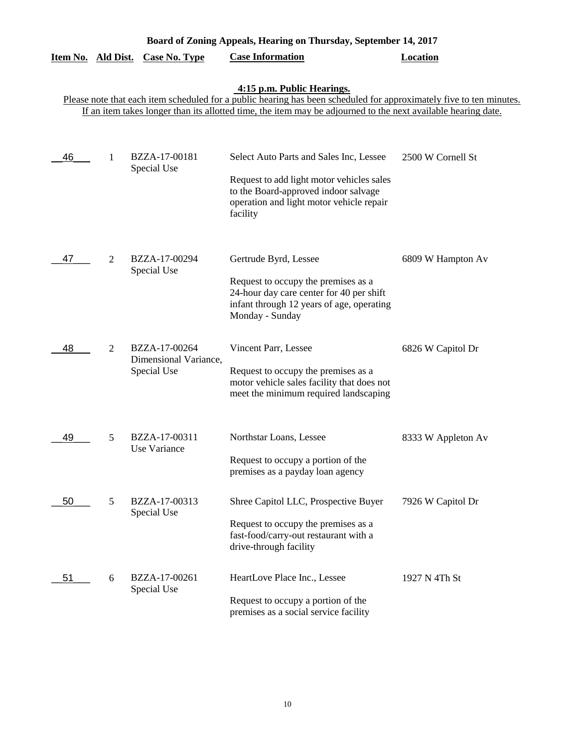| Board of Zoning Appeals, Hearing on Thursday, September 14, 2017 |                                                                                                                                                   |                                                       |                                                                                                                                                                                      |                    |  |  |  |
|------------------------------------------------------------------|---------------------------------------------------------------------------------------------------------------------------------------------------|-------------------------------------------------------|--------------------------------------------------------------------------------------------------------------------------------------------------------------------------------------|--------------------|--|--|--|
| Item No. Ald Dist.                                               |                                                                                                                                                   | <b>Case No. Type</b>                                  | <b>Case Information</b>                                                                                                                                                              | <b>Location</b>    |  |  |  |
|                                                                  | 4:15 p.m. Public Hearings.<br>Please note that each item scheduled for a public hearing has been scheduled for approximately five to ten minutes. |                                                       |                                                                                                                                                                                      |                    |  |  |  |
|                                                                  |                                                                                                                                                   |                                                       | If an item takes longer than its allotted time, the item may be adjourned to the next available hearing date.                                                                        |                    |  |  |  |
| 46                                                               | 1                                                                                                                                                 | BZZA-17-00181<br>Special Use                          | Select Auto Parts and Sales Inc, Lessee<br>Request to add light motor vehicles sales<br>to the Board-approved indoor salvage<br>operation and light motor vehicle repair<br>facility | 2500 W Cornell St  |  |  |  |
| 47                                                               | $\overline{2}$                                                                                                                                    | BZZA-17-00294<br>Special Use                          | Gertrude Byrd, Lessee<br>Request to occupy the premises as a<br>24-hour day care center for 40 per shift<br>infant through 12 years of age, operating<br>Monday - Sunday             | 6809 W Hampton Av  |  |  |  |
| 48                                                               | 2                                                                                                                                                 | BZZA-17-00264<br>Dimensional Variance,<br>Special Use | Vincent Parr, Lessee<br>Request to occupy the premises as a<br>motor vehicle sales facility that does not<br>meet the minimum required landscaping                                   | 6826 W Capitol Dr  |  |  |  |
| 49                                                               | 5                                                                                                                                                 | BZZA-17-00311<br>Use Variance                         | Northstar Loans, Lessee<br>Request to occupy a portion of the<br>premises as a payday loan agency                                                                                    | 8333 W Appleton Av |  |  |  |
| 50                                                               | 5                                                                                                                                                 | BZZA-17-00313<br>Special Use                          | Shree Capitol LLC, Prospective Buyer<br>Request to occupy the premises as a<br>fast-food/carry-out restaurant with a<br>drive-through facility                                       | 7926 W Capitol Dr  |  |  |  |
| 51                                                               | 6                                                                                                                                                 | BZZA-17-00261<br>Special Use                          | HeartLove Place Inc., Lessee<br>Request to occupy a portion of the<br>premises as a social service facility                                                                          | 1927 N 4Th St      |  |  |  |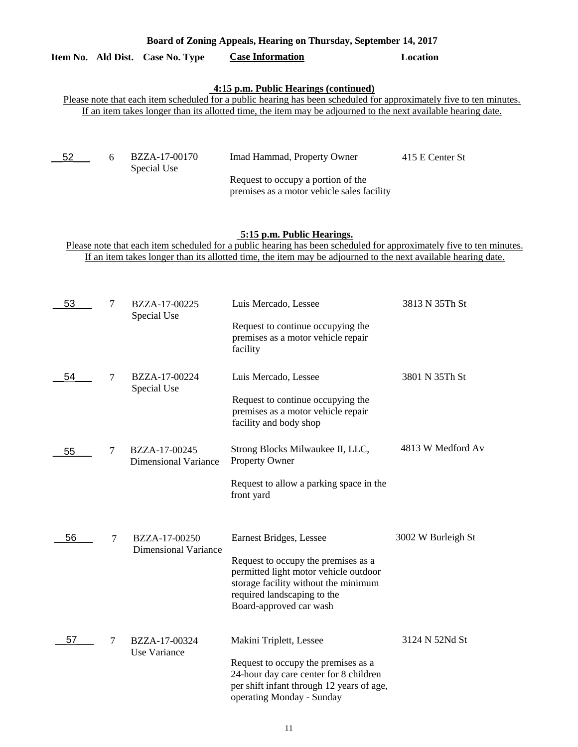|                    | Board of Zoning Appeals, Hearing on Thursday, September 14, 2017 |                              |                                                                                                                                                                                                                                                                               |                 |  |  |  |
|--------------------|------------------------------------------------------------------|------------------------------|-------------------------------------------------------------------------------------------------------------------------------------------------------------------------------------------------------------------------------------------------------------------------------|-----------------|--|--|--|
| Item No. Ald Dist. |                                                                  | Case No. Type                | <b>Case Information</b>                                                                                                                                                                                                                                                       | Location        |  |  |  |
|                    |                                                                  |                              | 4:15 p.m. Public Hearings (continued)<br>Please note that each item scheduled for a public hearing has been scheduled for approximately five to ten minutes.<br>If an item takes longer than its allotted time, the item may be adjourned to the next available hearing date. |                 |  |  |  |
| 52                 | 6                                                                | BZZA-17-00170<br>Special Use | Imad Hammad, Property Owner<br>Request to occupy a portion of the<br>premises as a motor vehicle sales facility                                                                                                                                                               | 415 E Center St |  |  |  |

# **5:15 p.m. Public Hearings.**

Please note that each item scheduled for a public hearing has been scheduled for approximately five to ten minutes. If an item takes longer than its allotted time, the item may be adjourned to the next available hearing date.

| 53 | 7      | BZZA-17-00225<br>Special Use                 | Luis Mercado, Lessee                                                                                                                                                                                      | 3813 N 35Th St     |
|----|--------|----------------------------------------------|-----------------------------------------------------------------------------------------------------------------------------------------------------------------------------------------------------------|--------------------|
|    |        |                                              | Request to continue occupying the<br>premises as a motor vehicle repair<br>facility                                                                                                                       |                    |
| 54 | 7      | BZZA-17-00224<br>Special Use                 | Luis Mercado, Lessee                                                                                                                                                                                      | 3801 N 35Th St     |
|    |        |                                              | Request to continue occupying the<br>premises as a motor vehicle repair<br>facility and body shop                                                                                                         |                    |
| 55 | 7      | BZZA-17-00245<br><b>Dimensional Variance</b> | Strong Blocks Milwaukee II, LLC,<br><b>Property Owner</b>                                                                                                                                                 | 4813 W Medford Av  |
|    |        |                                              | Request to allow a parking space in the<br>front yard                                                                                                                                                     |                    |
| 56 | $\tau$ | BZZA-17-00250<br><b>Dimensional Variance</b> | Earnest Bridges, Lessee<br>Request to occupy the premises as a<br>permitted light motor vehicle outdoor<br>storage facility without the minimum<br>required landscaping to the<br>Board-approved car wash | 3002 W Burleigh St |
| 57 | 7      | BZZA-17-00324<br>Use Variance                | Makini Triplett, Lessee<br>Request to occupy the premises as a<br>24-hour day care center for 8 children<br>per shift infant through 12 years of age,<br>operating Monday - Sunday                        | 3124 N 52Nd St     |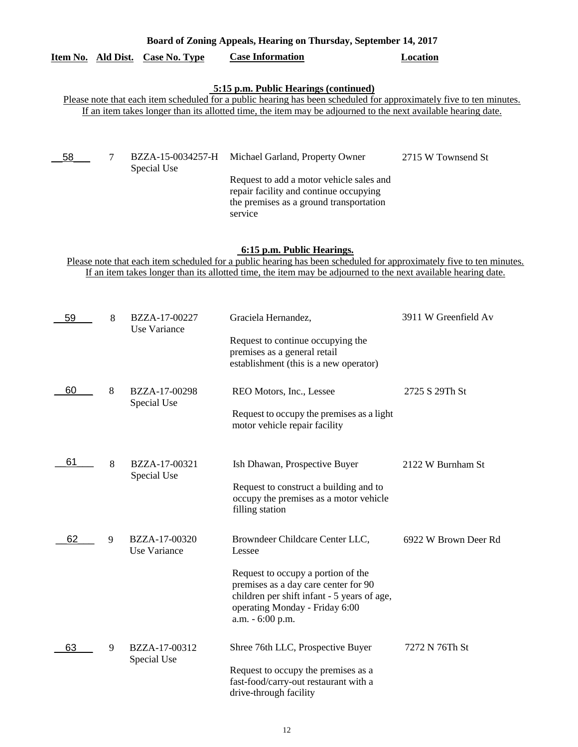|    |                                                                                                                                                                                                                                                                    |                                  | 5:15 p.m. Public Hearings (continued)<br>Please note that each item scheduled for a public hearing has been scheduled for approximately five to ten minutes.                                                                 |                      |  |  |
|----|--------------------------------------------------------------------------------------------------------------------------------------------------------------------------------------------------------------------------------------------------------------------|----------------------------------|------------------------------------------------------------------------------------------------------------------------------------------------------------------------------------------------------------------------------|----------------------|--|--|
|    |                                                                                                                                                                                                                                                                    |                                  | If an item takes longer than its allotted time, the item may be adjourned to the next available hearing date.                                                                                                                |                      |  |  |
| 58 | 7                                                                                                                                                                                                                                                                  | BZZA-15-0034257-H<br>Special Use | Michael Garland, Property Owner<br>Request to add a motor vehicle sales and<br>repair facility and continue occupying<br>the premises as a ground transportation<br>service                                                  | 2715 W Townsend St   |  |  |
|    | 6:15 p.m. Public Hearings.<br>Please note that each item scheduled for a public hearing has been scheduled for approximately five to ten minutes.<br>If an item takes longer than its allotted time, the item may be adjourned to the next available hearing date. |                                  |                                                                                                                                                                                                                              |                      |  |  |
| 59 | 8                                                                                                                                                                                                                                                                  | BZZA-17-00227<br>Use Variance    | Graciela Hernandez,<br>Request to continue occupying the<br>premises as a general retail<br>establishment (this is a new operator)                                                                                           | 3911 W Greenfield Av |  |  |
| 60 | 8                                                                                                                                                                                                                                                                  | BZZA-17-00298<br>Special Use     | REO Motors, Inc., Lessee<br>Request to occupy the premises as a light<br>motor vehicle repair facility                                                                                                                       | 2725 S 29Th St       |  |  |
| 61 | 8                                                                                                                                                                                                                                                                  | BZZA-17-00321<br>Special Use     | Ish Dhawan, Prospective Buyer<br>Request to construct a building and to<br>occupy the premises as a motor vehicle<br>filling station                                                                                         | 2122 W Burnham St    |  |  |
| 62 | 9                                                                                                                                                                                                                                                                  | BZZA-17-00320<br>Use Variance    | Browndeer Childcare Center LLC,<br>Lessee<br>Request to occupy a portion of the<br>premises as a day care center for 90<br>children per shift infant - 5 years of age,<br>operating Monday - Friday 6:00<br>a.m. - 6:00 p.m. | 6922 W Brown Deer Rd |  |  |
| 63 | 9                                                                                                                                                                                                                                                                  | BZZA-17-00312<br>Special Use     | Shree 76th LLC, Prospective Buyer<br>Request to occupy the premises as a<br>fast-food/carry-out restaurant with a<br>drive-through facility                                                                                  | 7272 N 76Th St       |  |  |

**Board of Zoning Appeals, Hearing on Thursday, September 14, 2017** 

**Item No. Ald Dist. Case No. Type Case Information Location**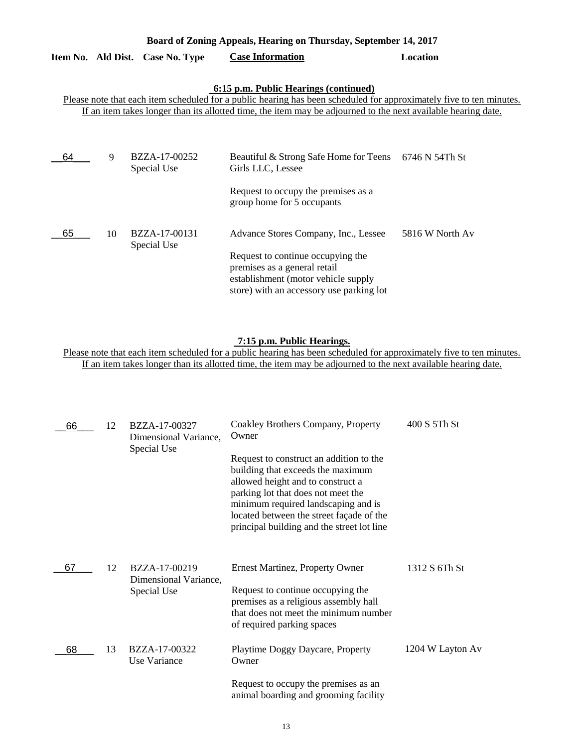| Board of Zoning Appeals, Hearing on Thursday, September 14, 2017                                                                                                                                                                                                              |    |                              |                                                                                                                                                                                              |                 |  |  |  |
|-------------------------------------------------------------------------------------------------------------------------------------------------------------------------------------------------------------------------------------------------------------------------------|----|------------------------------|----------------------------------------------------------------------------------------------------------------------------------------------------------------------------------------------|-----------------|--|--|--|
| Item No. Ald Dist.                                                                                                                                                                                                                                                            |    | <b>Case No. Type</b>         | <b>Case Information</b>                                                                                                                                                                      | Location        |  |  |  |
| 6:15 p.m. Public Hearings (continued)<br>Please note that each item scheduled for a public hearing has been scheduled for approximately five to ten minutes.<br>If an item takes longer than its allotted time, the item may be adjourned to the next available hearing date. |    |                              |                                                                                                                                                                                              |                 |  |  |  |
| 64                                                                                                                                                                                                                                                                            | 9  | BZZA-17-00252<br>Special Use | Beautiful & Strong Safe Home for Teens 6746 N 54Th St<br>Girls LLC, Lessee<br>Request to occupy the premises as a<br>group home for 5 occupants                                              |                 |  |  |  |
| 65                                                                                                                                                                                                                                                                            | 10 | BZZA-17-00131<br>Special Use | Advance Stores Company, Inc., Lessee<br>Request to continue occupying the<br>premises as a general retail<br>establishment (motor vehicle supply<br>store) with an accessory use parking lot | 5816 W North Av |  |  |  |

# **7:15 p.m. Public Hearings.**

Please note that each item scheduled for a public hearing has been scheduled for approximately five to ten minutes. If an item takes longer than its allotted time, the item may be adjourned to the next available hearing date.

| 66 | 12 | BZZA-17-00327<br>Dimensional Variance, | Coakley Brothers Company, Property<br>Owner                                                                                                                                                                                                                                              | 400 S 5Th St     |
|----|----|----------------------------------------|------------------------------------------------------------------------------------------------------------------------------------------------------------------------------------------------------------------------------------------------------------------------------------------|------------------|
|    |    | Special Use                            | Request to construct an addition to the<br>building that exceeds the maximum<br>allowed height and to construct a<br>parking lot that does not meet the<br>minimum required landscaping and is<br>located between the street façade of the<br>principal building and the street lot line |                  |
| 67 | 12 | BZZA-17-00219<br>Dimensional Variance, | <b>Ernest Martinez, Property Owner</b>                                                                                                                                                                                                                                                   | 1312 S 6Th St    |
|    |    | Special Use                            | Request to continue occupying the<br>premises as a religious assembly hall<br>that does not meet the minimum number<br>of required parking spaces                                                                                                                                        |                  |
| 68 | 13 | BZZA-17-00322<br>Use Variance          | Playtime Doggy Daycare, Property<br>Owner                                                                                                                                                                                                                                                | 1204 W Layton Av |
|    |    |                                        | Request to occupy the premises as an<br>animal boarding and grooming facility                                                                                                                                                                                                            |                  |